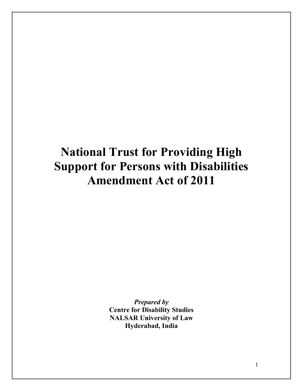# **National Trust for Providing High Support for Persons with Disabilities Amendment Act of 2011**

*Prepared by* **Centre for Disability Studies NALSAR University of Law Hyderabad, India**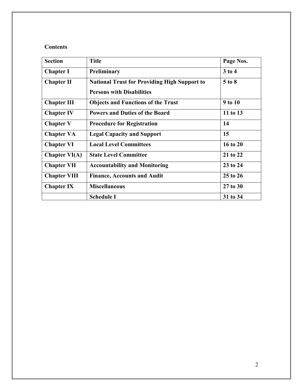# **Contents**

| <b>Section</b>      | <b>Title</b>                                        | Page Nos.  |
|---------------------|-----------------------------------------------------|------------|
| <b>Chapter I</b>    | Preliminary                                         | $3$ to $4$ |
| <b>Chapter II</b>   | <b>National Trust for Providing High Support to</b> | $5$ to $8$ |
|                     | <b>Persons with Disabilities</b>                    |            |
| <b>Chapter III</b>  | <b>Objects and Functions of the Trust</b>           | 9 to 10    |
| <b>Chapter IV</b>   | <b>Powers and Duties of the Board</b>               | 11 to 13   |
| <b>Chapter V</b>    | <b>Procedure for Registration</b>                   | 14         |
| <b>Chapter VA</b>   | <b>Legal Capacity and Support</b>                   | 15         |
| <b>Chapter VI</b>   | <b>Local Level Committees</b>                       | 16 to 20   |
| Chapter $VI(A)$     | <b>State Level Committee</b>                        | 21 to 22   |
| <b>Chapter VII</b>  | <b>Accountability and Monitoring</b>                | 23 to 24   |
| <b>Chapter VIII</b> | <b>Finance, Accounts and Audit</b>                  | 25 to 26   |
| <b>Chapter IX</b>   | <b>Miscellaneous</b>                                | 27 to 30   |
|                     | <b>Schedule I</b>                                   | 31 to 34   |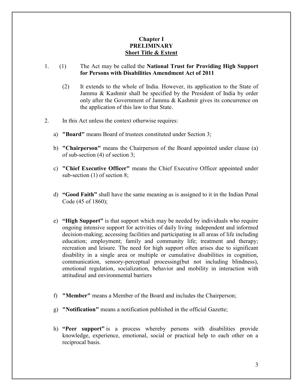# **Chapter I PRELIMINARY Short Title & Extent**

# 1. (1) The Act may be called the **National Trust for Providing High Support for Persons with Disabilities Amendment Act of 2011**

- (2) It extends to the whole of India. However, its application to the State of Jammu & Kashmir shall be specified by the President of India by order only after the Government of Jammu & Kashmir gives its concurrence on the application of this law to that State.
- 2. In this Act unless the context otherwise requires:
	- a) **"Board"** means Board of trustees constituted under Section 3;
	- b) **"Chairperson"** means the Chairperson of the Board appointed under clause (a) of sub-section (4) of section 3;
	- c) **"Chief Executive Officer"** means the Chief Executive Officer appointed under sub-section (1) of section 8;
	- d) **"Good Faith"** shall have the same meaning as is assigned to it in the Indian Penal Code (45 of 1860);
	- e) **"High Support"** is that support which may be needed by individuals who require ongoing intensive support for activities of daily living independent and informed decision-making; accessing facilities and participating in all areas of life including education; employment; family and community life; treatment and therapy; recreation and leisure. The need for high support often arises due to significant disability in a single area or multiple or cumulative disabilities in cognition, communication, sensory-perceptual processing(but not including blindness), emotional regulation, socialization, behavior and mobility in interaction with attitudinal and environmental barriers
	- f) **"Member"** means a Member of the Board and includes the Chairperson;
	- g) **"Notification"** means a notification published in the official Gazette;
	- h) **"Peer support"** is a process whereby persons with disabilities provide knowledge, experience, emotional, social or practical help to each other on a reciprocal basis.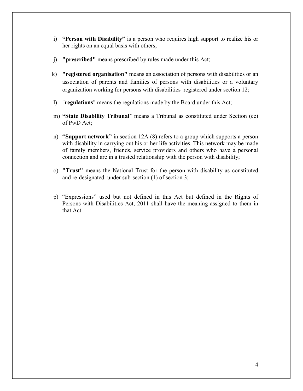- i) **"Person with Disability"** is a person who requires high support to realize his or her rights on an equal basis with others;
- j) **"prescribed"** means prescribed by rules made under this Act;
- k) **"registered organisation"** means an association of persons with disabilities or an association of parents and families of persons with disabilities or a voluntary organization working for persons with disabilities registered under section 12;
- l) "**regulations**" means the regulations made by the Board under this Act;
- m) **"State Disability Tribunal**" means a Tribunal as constituted under Section (ee) of PwD Act;
- n) **"Support network"** in section 12A (8) refers to a group which supports a person with disability in carrying out his or her life activities. This network may be made of family members, friends, service providers and others who have a personal connection and are in a trusted relationship with the person with disability;
- o) **"Trust"** means the National Trust for the person with disability as constituted and re-designated under sub-section (1) of section 3;
- p) "Expressions" used but not defined in this Act but defined in the Rights of Persons with Disabilities Act, 2011 shall have the meaning assigned to them in that Act.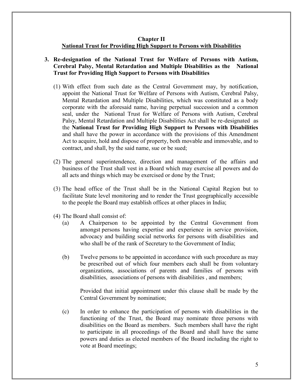#### **Chapter II National Trust for Providing High Support to Persons with Disabilities**

## **3. Re-designation of the National Trust for Welfare of Persons with Autism, Cerebral Palsy, Mental Retardation and Multiple Disabilities as the National Trust for Providing High Support to Persons with Disabilities**

- (1) With effect from such date as the Central Government may, by notification, appoint the National Trust for Welfare of Persons with Autism, Cerebral Palsy, Mental Retardation and Multiple Disabilities, which was constituted as a body corporate with the aforesaid name, having perpetual succession and a common seal, under the National Trust for Welfare of Persons with Autism, Cerebral Palsy, Mental Retardation and Multiple Disabilities Act shall be re-designated as the **National Trust for Providing High Support to Persons with Disabilities**  and shall have the power in accordance with the provisions of this Amendment Act to acquire, hold and dispose of property, both movable and immovable, and to contract, and shall, by the said name, sue or be sued;
- (2) The general superintendence, direction and management of the affairs and business of the Trust shall vest in a Board which may exercise all powers and do all acts and things which may be exercised or done by the Trust;
- (3) The head office of the Trust shall be in the National Capital Region but to facilitate State level monitoring and to render the Trust geographically accessible to the people the Board may establish offices at other places in India;
- (4) The Board shall consist of:
	- (a) A Chairperson to be appointed by the Central Government from amongst persons having expertise and experience in service provision, advocacy and building social networks for persons with disabilities and who shall be of the rank of Secretary to the Government of India;
	- (b) Twelve persons to be appointed in accordance with such procedure as may be prescribed out of which four members each shall be from voluntary organizations, associations of parents and families of persons with disabilities, associations of persons with disabilities , and members;

Provided that initial appointment under this clause shall be made by the Central Government by nomination;

(c) In order to enhance the participation of persons with disabilities in the functioning of the Trust, the Board may nominate three persons with disabilities on the Board as members. Such members shall have the right to participate in all proceedings of the Board and shall have the same powers and duties as elected members of the Board including the right to vote at Board meetings;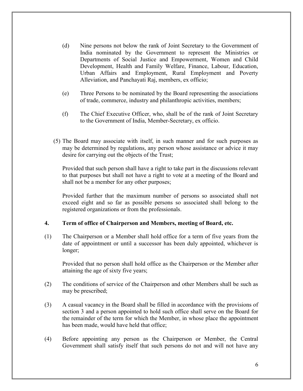- (d) Nine persons not below the rank of Joint Secretary to the Government of India nominated by the Government to represent the Ministries or Departments of Social Justice and Empowerment, Women and Child Development, Health and Family Welfare, Finance, Labour, Education, Urban Affairs and Employment, Rural Employment and Poverty Alleviation, and Panchayati Raj, members, ex officio;
- (e) Three Persons to be nominated by the Board representing the associations of trade, commerce, industry and philanthropic activities, members;
- (f) The Chief Executive Officer, who, shall be of the rank of Joint Secretary to the Government of India, Member-Secretary, ex officio.
- (5) The Board may associate with itself, in such manner and for such purposes as may be determined by regulations, any person whose assistance or advice it may desire for carrying out the objects of the Trust;

Provided that such person shall have a right to take part in the discussions relevant to that purposes but shall not have a right to vote at a meeting of the Board and shall not be a member for any other purposes;

Provided further that the maximum number of persons so associated shall not exceed eight and so far as possible persons so associated shall belong to the registered organizations or from the professionals.

#### **4. Term of office of Chairperson and Members, meeting of Board, etc.**

(1) The Chairperson or a Member shall hold office for a term of five years from the date of appointment or until a successor has been duly appointed, whichever is longer;

Provided that no person shall hold office as the Chairperson or the Member after attaining the age of sixty five years;

- (2) The conditions of service of the Chairperson and other Members shall be such as may be prescribed;
- (3) A casual vacancy in the Board shall be filled in accordance with the provisions of section 3 and a person appointed to hold such office shall serve on the Board for the remainder of the term for which the Member, in whose place the appointment has been made, would have held that office;
- (4) Before appointing any person as the Chairperson or Member, the Central Government shall satisfy itself that such persons do not and will not have any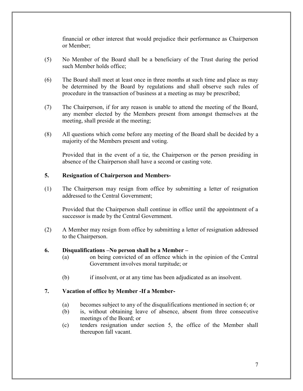financial or other interest that would prejudice their performance as Chairperson or Member;

- (5) No Member of the Board shall be a beneficiary of the Trust during the period such Member holds office;
- (6) The Board shall meet at least once in three months at such time and place as may be determined by the Board by regulations and shall observe such rules of procedure in the transaction of business at a meeting as may be prescribed;
- (7) The Chairperson, if for any reason is unable to attend the meeting of the Board, any member elected by the Members present from amongst themselves at the meeting, shall preside at the meeting;
- (8) All questions which come before any meeting of the Board shall be decided by a majority of the Members present and voting.

Provided that in the event of a tie, the Chairperson or the person presiding in absence of the Chairperson shall have a second or casting vote.

# **5. Resignation of Chairperson and Members-**

(1) The Chairperson may resign from office by submitting a letter of resignation addressed to the Central Government;

Provided that the Chairperson shall continue in office until the appointment of a successor is made by the Central Government.

(2) A Member may resign from office by submitting a letter of resignation addressed to the Chairperson.

# **6. Disqualifications –No person shall be a Member –**

- (a) on being convicted of an offence which in the opinion of the Central Government involves moral turpitude; or
- (b) if insolvent, or at any time has been adjudicated as an insolvent.

# **7. Vacation of office by Member -If a Member-**

- (a) becomes subject to any of the disqualifications mentioned in section 6; or
- (b) is, without obtaining leave of absence, absent from three consecutive meetings of the Board; or
- (c) tenders resignation under section 5, the office of the Member shall thereupon fall vacant.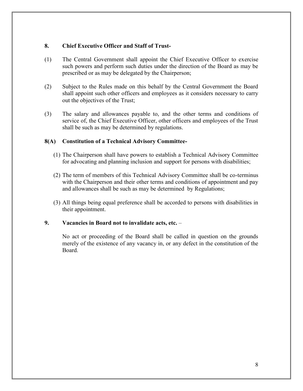## **8. Chief Executive Officer and Staff of Trust-**

- (1) The Central Government shall appoint the Chief Executive Officer to exercise such powers and perform such duties under the direction of the Board as may be prescribed or as may be delegated by the Chairperson;
- (2) Subject to the Rules made on this behalf by the Central Government the Board shall appoint such other officers and employees as it considers necessary to carry out the objectives of the Trust;
- (3) The salary and allowances payable to, and the other terms and conditions of service of, the Chief Executive Officer, other officers and employees of the Trust shall be such as may be determined by regulations.

## **8(A) Constitution of a Technical Advisory Committee-**

- (1) The Chairperson shall have powers to establish a Technical Advisory Committee for advocating and planning inclusion and support for persons with disabilities;
- (2) The term of members of this Technical Advisory Committee shall be co-terminus with the Chairperson and their other terms and conditions of appointment and pay and allowances shall be such as may be determined by Regulations;
- (3) All things being equal preference shall be accorded to persons with disabilities in their appointment.

# **9. Vacancies in Board not to invalidate acts, etc.** –

No act or proceeding of the Board shall be called in question on the grounds merely of the existence of any vacancy in, or any defect in the constitution of the Board.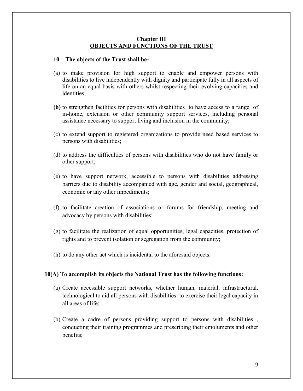### **Chapter III OBJECTS AND FUNCTIONS OF THE TRUST**

#### **10 The objects of the Trust shall be-**

- (a) to make provision for high support to enable and empower persons with disabilities to live independently with dignity and participate fully in all aspects of life on an equal basis with others whilst respecting their evolving capacities and identities;
- **(b)** to strengthen facilities for persons with disabilities to have access to a range of in-home, extension or other community support services, including personal assistance necessary to support living and inclusion in the community;
- (c) to extend support to registered organizations to provide need based services to persons with disabilities;
- (d) to address the difficulties of persons with disabilities who do not have family or other support;
- (e) to have support network, accessible to persons with disabilities addressing barriers due to disability accompanied with age, gender and social, geographical, economic or any other impediments;
- (f) to facilitate creation of associations or forums for friendship, meeting and advocacy by persons with disabilities;
- (g) to facilitate the realization of equal opportunities, legal capacities, protection of rights and to prevent isolation or segregation from the community;
- (h) to do any other act which is incidental to the aforesaid objects.

#### **10(A) To accomplish its objects the National Trust has the following functions:**

- (a) Create accessible support networks, whether human, material, infrastructural, technological to aid all persons with disabilities to exercise their legal capacity in all areas of life;
- (b) Create a cadre of persons providing support to persons with disabilities , conducting their training programmes and prescribing their emoluments and other benefits;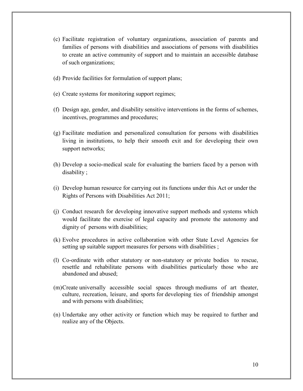- (c) Facilitate registration of voluntary organizations, association of parents and families of persons with disabilities and associations of persons with disabilities to create an active community of support and to maintain an accessible database of such organizations;
- (d) Provide facilities for formulation of support plans;
- (e) Create systems for monitoring support regimes;
- (f) Design age, gender, and disability sensitive interventions in the forms of schemes, incentives, programmes and procedures;
- (g) Facilitate mediation and personalized consultation for persons with disabilities living in institutions, to help their smooth exit and for developing their own support networks;
- (h) Develop a socio-medical scale for evaluating the barriers faced by a person with disability ;
- (i) Develop human resource for carrying out its functions under this Act or under the Rights of Persons with Disabilities Act 2011;
- (j) Conduct research for developing innovative support methods and systems which would facilitate the exercise of legal capacity and promote the autonomy and dignity of persons with disabilities;
- (k) Evolve procedures in active collaboration with other State Level Agencies for setting up suitable support measures for persons with disabilities;
- (l) Co-ordinate with other statutory or non-statutory or private bodies to rescue, resettle and rehabilitate persons with disabilities particularly those who are abandoned and abused;
- (m)Create universally accessible social spaces through mediums of art theater, culture, recreation, leisure, and sports for developing ties of friendship amongst and with persons with disabilities;
- (n) Undertake any other activity or function which may be required to further and realize any of the Objects.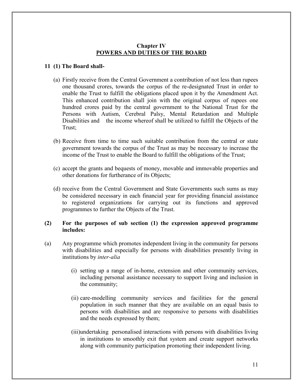## **Chapter IV POWERS AND DUTIES OF THE BOARD**

## **11 (1) The Board shall-**

- (a) Firstly receive from the Central Government a contribution of not less than rupees one thousand crores, towards the corpus of the re-designated Trust in order to enable the Trust to fulfill the obligations placed upon it by the Amendment Act. This enhanced contribution shall join with the original corpus of rupees one hundred crores paid by the central government to the National Trust for the Persons with Autism, Cerebral Palsy, Mental Retardation and Multiple Disabilities and the income whereof shall be utilized to fulfill the Objects of the Trust;
- (b) Receive from time to time such suitable contribution from the central or state government towards the corpus of the Trust as may be necessary to increase the income of the Trust to enable the Board to fulfill the obligations of the Trust;
- (c) accept the grants and bequests of money, movable and immovable properties and other donations for furtherance of its Objects;
- (d) receive from the Central Government and State Governments such sums as may be considered necessary in each financial year for providing financial assistance to registered organizations for carrying out its functions and approved programmes to further the Objects of the Trust.

## **(2) For the purposes of sub section (1) the expression approved programme includes:**

- (a) Any programme which promotes independent living in the community for persons with disabilities and especially for persons with disabilities presently living in institutions by *inter-alia*
	- (i) setting up a range of in-home, extension and other community services, including personal assistance necessary to support living and inclusion in the community;
	- (ii) care-modelling community services and facilities for the general population in such manner that they are available on an equal basis to persons with disabilities and are responsive to persons with disabilities and the needs expressed by them;
	- (iii)undertaking personalised interactions with persons with disabilities living in institutions to smoothly exit that system and create support networks along with community participation promoting their independent living.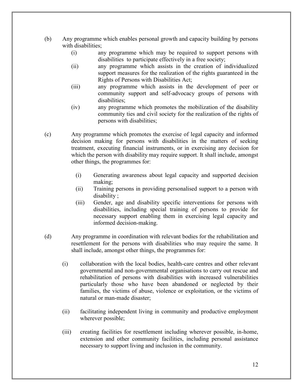- (b) Any programme which enables personal growth and capacity building by persons with disabilities:
	- (i) any programme which may be required to support persons with disabilities to participate effectively in a free society;
	- (ii) any programme which assists in the creation of individualized support measures for the realization of the rights guaranteed in the Rights of Persons with Disabilities Act;
	- (iii) any programme which assists in the development of peer or community support and self-advocacy groups of persons with disabilities;
	- (iv) any programme which promotes the mobilization of the disability community ties and civil society for the realization of the rights of persons with disabilities;
- (c) Any programme which promotes the exercise of legal capacity and informed decision making for persons with disabilities in the matters of seeking treatment, executing financial instruments, or in exercising any decision for which the person with disability may require support. It shall include, amongst other things, the programmes for:
	- (i) Generating awareness about legal capacity and supported decision making;
	- (ii) Training persons in providing personalised support to a person with disability ;
	- (iii) Gender, age and disability specific interventions for persons with disabilities, including special training of persons to provide for necessary support enabling them in exercising legal capacity and informed decision-making.
- (d) Any programme in coordination with relevant bodies for the rehabilitation and resettlement for the persons with disabilities who may require the same. It shall include, amongst other things, the programmes for:
	- (i) collaboration with the local bodies, health-care centres and other relevant governmental and non-governmental organisations to carry out rescue and rehabilitation of persons with disabilities with increased vulnerabilities particularly those who have been abandoned or neglected by their families, the victims of abuse, violence or exploitation, or the victims of natural or man-made disaster;
	- (ii) facilitating independent living in community and productive employment wherever possible;
	- (iii) creating facilities for resettlement including wherever possible, in-home, extension and other community facilities, including personal assistance necessary to support living and inclusion in the community.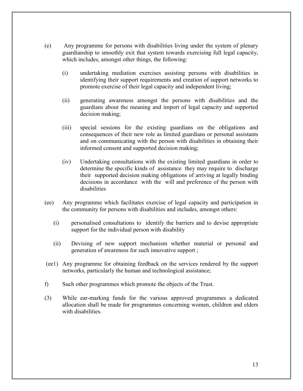- (e) Any programme for persons with disabilities living under the system of plenary guardianship to smoothly exit that system towards exercising full legal capacity, which includes, amongst other things, the following:
	- (i) undertaking mediation exercises assisting persons with disabilities in identifying their support requirements and creation of support networks to promote exercise of their legal capacity and independent living;
	- (ii) generating awareness amongst the persons with disabilities and the guardians about the meaning and import of legal capacity and supported decision making;
	- (iii) special sessions for the existing guardians on the obligations and consequences of their new role as limited guardians or personal assistants and on communicating with the person with disabilities in obtaining their informed consent and supported decision making;
	- (iv) Undertaking consultations with the existing limited guardians in order to determine the specific kinds of assistance they may require to discharge their supported decision making obligations of arriving at legally binding decisions in accordance with the will and preference of the person with disabilities
- (ee) Any programme which facilitates exercise of legal capacity and participation in the community for persons with disabilities and includes, amongst others:
	- (i) personalised consultations to identify the barriers and to devise appropriate support for the individual person with disability
	- (ii) Devising of new support mechanism whether material or personal and generation of awareness for such innovative support ;
- (ee1) Any programme for obtaining feedback on the services rendered by the support networks, particularly the human and technological assistance;
- f) Such other programmes which promote the objects of the Trust.
- (3) While ear-marking funds for the various approved programmes a dedicated allocation shall be made for programmes concerning women, children and elders with disabilities.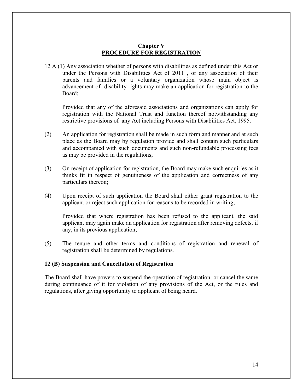# **Chapter V PROCEDURE FOR REGISTRATION**

12 A (1) Any association whether of persons with disabilities as defined under this Act or under the Persons with Disabilities Act of 2011 , or any association of their parents and families or a voluntary organization whose main object is advancement of disability rights may make an application for registration to the Board;

Provided that any of the aforesaid associations and organizations can apply for registration with the National Trust and function thereof notwithstanding any restrictive provisions of any Act including Persons with Disabilities Act, 1995.

- (2) An application for registration shall be made in such form and manner and at such place as the Board may by regulation provide and shall contain such particulars and accompanied with such documents and such non-refundable processing fees as may be provided in the regulations;
- (3) On receipt of application for registration, the Board may make such enquiries as it thinks fit in respect of genuineness of the application and correctness of any particulars thereon;
- (4) Upon receipt of such application the Board shall either grant registration to the applicant or reject such application for reasons to be recorded in writing;

Provided that where registration has been refused to the applicant, the said applicant may again make an application for registration after removing defects, if any, in its previous application;

(5) The tenure and other terms and conditions of registration and renewal of registration shall be determined by regulations.

#### **12 (B) Suspension and Cancellation of Registration**

The Board shall have powers to suspend the operation of registration, or cancel the same during continuance of it for violation of any provisions of the Act, or the rules and regulations, after giving opportunity to applicant of being heard.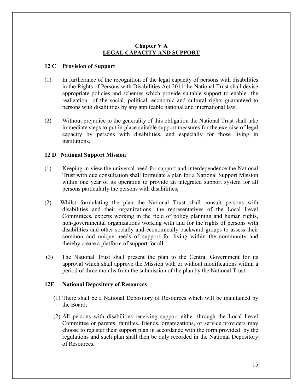# **Chapter V A LEGAL CAPACITY AND SUPPORT**

# **12 C Provision of Support**

- (1) In furtherance of the recognition of the legal capacity of persons with disabilities in the Rights of Persons with Disabilities Act 2011 the National Trust shall devise appropriate policies and schemes which provide suitable support to enable the realization of the social, political, economic and cultural rights guaranteed to persons with disabilities by any applicable national and international law;
- (2) Without prejudice to the generality of this obligation the National Trust shall take immediate steps to put in place suitable support measures for the exercise of legal capacity by persons with disabilities, and especially for those living in institutions.

# **12 D National Support Mission**

- (1) Keeping in view the universal need for support and interdependence the National Trust with due consultation shall formulate a plan for a National Support Mission within one year of its operation to provide an integrated support system for all persons particularly the persons with disabilities;
- (2) Whilst formulating the plan the National Trust shall consult persons with disabilities and their organizations; the representatives of the Local Level Committees, experts working in the field of policy planning and human rights, non-governmental organizations working with and for the rights of persons with disabilities and other socially and economically backward groups to assess their common and unique needs of support for living within the community and thereby create a platform of support for all.
- (3) The National Trust shall present the plan to the Central Government for its approval which shall approve the Mission with or without modifications within a period of three months from the submission of the plan by the National Trust.

#### **12E National Depository of Resources**

- (1) There shall be a National Depository of Resources which will be maintained by the Board;
- (2) All persons with disabilities receiving support either through the Local Level Committee or parents, families, friends, organizations, or service providers may choose to register their support plan in accordance with the form provided by the regulations and such plan shall then be duly recorded in the National Depository of Resources.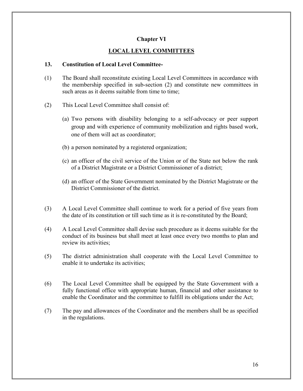## **Chapter VI**

# **LOCAL LEVEL COMMITTEES**

#### **13. Constitution of Local Level Committee-**

- (1) The Board shall reconstitute existing Local Level Committees in accordance with the membership specified in sub-section (2) and constitute new committees in such areas as it deems suitable from time to time;
- (2) This Local Level Committee shall consist of:
	- (a) Two persons with disability belonging to a self-advocacy or peer support group and with experience of community mobilization and rights based work, one of them will act as coordinator;
	- (b) a person nominated by a registered organization;
	- (c) an officer of the civil service of the Union or of the State not below the rank of a District Magistrate or a District Commissioner of a district;
	- (d) an officer of the State Government nominated by the District Magistrate or the District Commissioner of the district.
- (3) A Local Level Committee shall continue to work for a period of five years from the date of its constitution or till such time as it is re-constituted by the Board;
- (4) A Local Level Committee shall devise such procedure as it deems suitable for the conduct of its business but shall meet at least once every two months to plan and review its activities;
- (5) The district administration shall cooperate with the Local Level Committee to enable it to undertake its activities;
- (6) The Local Level Committee shall be equipped by the State Government with a fully functional office with appropriate human, financial and other assistance to enable the Coordinator and the committee to fulfill its obligations under the Act;
- (7) The pay and allowances of the Coordinator and the members shall be as specified in the regulations.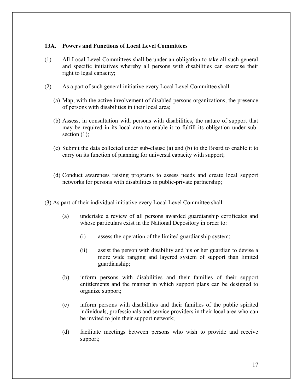## **13A. Powers and Functions of Local Level Committees**

- (1) All Local Level Committees shall be under an obligation to take all such general and specific initiatives whereby all persons with disabilities can exercise their right to legal capacity;
- (2) As a part of such general initiative every Local Level Committee shall-
	- (a) Map, with the active involvement of disabled persons organizations, the presence of persons with disabilities in their local area;
	- (b) Assess, in consultation with persons with disabilities, the nature of support that may be required in its local area to enable it to fulfill its obligation under subsection  $(1)$ ;
	- (c) Submit the data collected under sub-clause (a) and (b) to the Board to enable it to carry on its function of planning for universal capacity with support;
	- (d) Conduct awareness raising programs to assess needs and create local support networks for persons with disabilities in public-private partnership;
- (3) As part of their individual initiative every Local Level Committee shall:
	- (a) undertake a review of all persons awarded guardianship certificates and whose particulars exist in the National Depository in order to:
		- (i) assess the operation of the limited guardianship system;
		- (ii) assist the person with disability and his or her guardian to devise a more wide ranging and layered system of support than limited guardianship;
	- (b) inform persons with disabilities and their families of their support entitlements and the manner in which support plans can be designed to organize support;
	- (c) inform persons with disabilities and their families of the public spirited individuals, professionals and service providers in their local area who can be invited to join their support network;
	- (d) facilitate meetings between persons who wish to provide and receive support;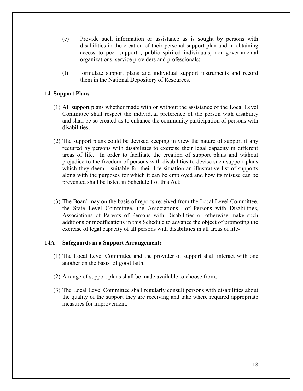- (e) Provide such information or assistance as is sought by persons with disabilities in the creation of their personal support plan and in obtaining access to peer support , public–spirited individuals, non-governmental organizations, service providers and professionals;
- (f) formulate support plans and individual support instruments and record them in the National Depository of Resources.

# **14 Support Plans-**

- (1) All support plans whether made with or without the assistance of the Local Level Committee shall respect the individual preference of the person with disability and shall be so created as to enhance the community participation of persons with disabilities;
- (2) The support plans could be devised keeping in view the nature of support if any required by persons with disabilities to exercise their legal capacity in different areas of life. In order to facilitate the creation of support plans and without prejudice to the freedom of persons with disabilities to devise such support plans which they deem suitable for their life situation an illustrative list of supports along with the purposes for which it can be employed and how its misuse can be prevented shall be listed in Schedule I of this Act;
- (3) The Board may on the basis of reports received from the Local Level Committee, the State Level Committee, the Associations of Persons with Disabilities, Associations of Parents of Persons with Disabilities or otherwise make such additions or modifications in this Schedule to advance the object of promoting the exercise of legal capacity of all persons with disabilities in all areas of life-.

# **14A Safeguards in a Support Arrangement:**

- (1) The Local Level Committee and the provider of support shall interact with one another on the basis of good faith;
- (2) A range of support plans shall be made available to choose from;
- (3) The Local Level Committee shall regularly consult persons with disabilities about the quality of the support they are receiving and take where required appropriate measures for improvement.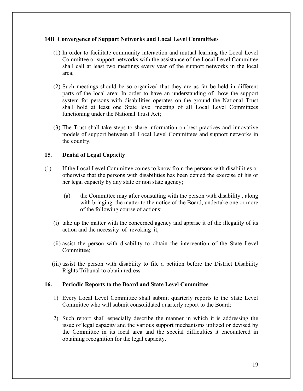## **14B Convergence of Support Networks and Local Level Committees**

- (1) In order to facilitate community interaction and mutual learning the Local Level Committee or support networks with the assistance of the Local Level Committee shall call at least two meetings every year of the support networks in the local area;
- (2) Such meetings should be so organized that they are as far be held in different parts of the local area; In order to have an understanding of how the support system for persons with disabilities operates on the ground the National Trust shall hold at least one State level meeting of all Local Level Committees functioning under the National Trust Act;
- (3) The Trust shall take steps to share information on best practices and innovative models of support between all Local Level Committees and support networks in the country.

# **15. Denial of Legal Capacity**

- (1) If the Local Level Committee comes to know from the persons with disabilities or otherwise that the persons with disabilities has been denied the exercise of his or her legal capacity by any state or non state agency;
	- (a) the Committee may after consulting with the person with disability , along with bringing the matter to the notice of the Board, undertake one or more of the following course of actions:
	- (i) take up the matter with the concerned agency and apprise it of the illegality of its action and the necessity of revoking it;
	- (ii) assist the person with disability to obtain the intervention of the State Level Committee;
	- (iii) assist the person with disability to file a petition before the District Disability Rights Tribunal to obtain redress.

#### **16. Periodic Reports to the Board and State Level Committee**

- 1) Every Local Level Committee shall submit quarterly reports to the State Level Committee who will submit consolidated quarterly report to the Board;
- 2) Such report shall especially describe the manner in which it is addressing the issue of legal capacity and the various support mechanisms utilized or devised by the Committee in its local area and the special difficulties it encountered in obtaining recognition for the legal capacity.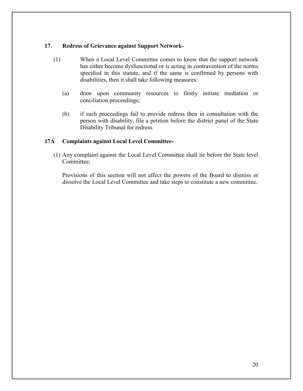## **17. Redress of Grievance against Support Network-**

- (1) When a Local Level Committee comes to know that the support network has either become dysfunctional or is acting in contravention of the norms specified in this statute, and if the same is confirmed by persons with disabilities, then it shall take following measures:
	- (a) draw upon community resources to firstly initiate mediation or conciliation proceedings;
	- (b) if such proceedings fail to provide redress then in consultation with the person with disability, file a petition before the district panel of the State Disability Tribunal for redress.

## **17A Complaints against Local Level Committee-**

(1) Any complaint against the Local Level Committee shall lie before the State level Committee;

Provisions of this section will not affect the powers of the Board to dismiss or dissolve the Local Level Committee and take steps to constitute a new committee.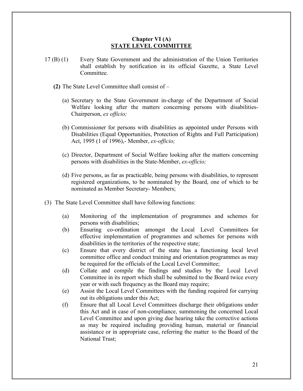### **Chapter VI (A) STATE LEVEL COMMITTEE**

- 17 (B) (1) Every State Government and the administration of the Union Territories shall establish by notification in its official Gazette, a State Level **Committee** 
	- **(2)** The State Level Committee shall consist of
		- (a) Secretary to the State Government in-charge of the Department of Social Welfare looking after the matters concerning persons with disabilities-Chairperson, *ex officio;*
		- (b) Commissioner for persons with disabilities as appointed under Persons with Disabilities (Equal Opportunities, Protection of Rights and Full Participation) Act, 1995 (1 of 1996),- Member, *ex-officio;*
		- (c) Director, Department of Social Welfare looking after the matters concerning persons with disabilities in the State-Member, *ex-officio;*
		- (d) Five persons, as far as practicable, being persons with disabilities, to represent registered organizations, to be nominated by the Board, one of which to be nominated as Member Secretary- Members;
- (3) The State Level Committee shall have following functions:
	- (a) Monitoring of the implementation of programmes and schemes for persons with disabilities;
	- (b) Ensuring co-ordination amongst the Local Level Committees for effective implementation of programmes and schemes for persons with disabilities in the territories of the respective state;
	- (c) Ensure that every district of the state has a functioning local level committee office and conduct training and orientation programmes as may be required for the officials of the Local Level Committee;
	- (d) Collate and compile the findings and studies by the Local Level Committee in its report which shall be submitted to the Board twice every year or with such frequency as the Board may require;
	- (e) Assist the Local Level Committees with the funding required for carrying out its obligations under this Act;
	- (f) Ensure that all Local Level Committees discharge their obligations under this Act and in case of non-compliance, summoning the concerned Local Level Committee and upon giving due hearing take the corrective actions as may be required including providing human, material or financial assistance or in appropriate case, referring the matter to the Board of the National Trust;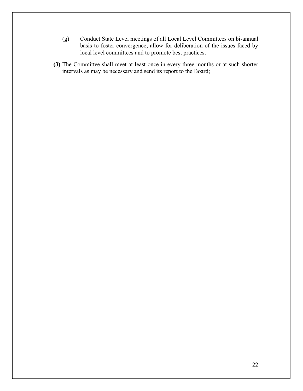- (g) Conduct State Level meetings of all Local Level Committees on bi-annual basis to foster convergence; allow for deliberation of the issues faced by local level committees and to promote best practices.
- **(3)** The Committee shall meet at least once in every three months or at such shorter intervals as may be necessary and send its report to the Board;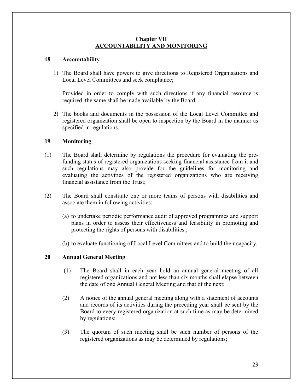## **Chapter VII ACCOUNTABILITY AND MONITORING**

## **18 Accountability**

1) The Board shall have powers to give directions to Registered Organisations and Local Level Committees and seek compliance;

Provided in order to comply with such directions if any financial resource is required, the same shall be made available by the Board.

2) The books and documents in the possession of the Local Level Committee and registered organization shall be open to inspection by the Board in the manner as specified in regulations.

## **19 Monitoring**

- (1) The Board shall determine by regulations the procedure for evaluating the prefunding status of registered organizations seeking financial assistance from it and such regulations may also provide for the guidelines for monitoring and evaluating the activities of the registered organizations who are receiving financial assistance from the Trust;
- (2) The Board shall constitute one or more teams of persons with disabilities and associate them in following activities:
	- (a) to undertake periodic performance audit of approved programmes and support plans in order to assess their effectiveness and feasibility in promoting and protecting the rights of persons with disabilities ;
	- (b) to evaluate functioning of Local Level Committees and to build their capacity.

#### **20 Annual General Meeting**

- (1) The Board shall in each year hold an annual general meeting of all registered organizations and not less than six months shall elapse between the date of one Annual General Meeting and that of the next;
- (2) A notice of the annual general meeting along with a statement of accounts and records of its activities during the preceding year shall be sent by the Board to every registered organization at such time as may be determined by regulations;
- (3) The quorum of such meeting shall be such number of persons of the registered organizations as may be determined by regulations;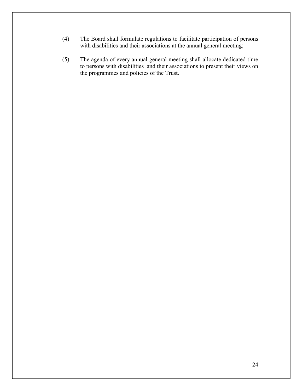- (4) The Board shall formulate regulations to facilitate participation of persons with disabilities and their associations at the annual general meeting;
- (5) The agenda of every annual general meeting shall allocate dedicated time to persons with disabilities and their associations to present their views on the programmes and policies of the Trust.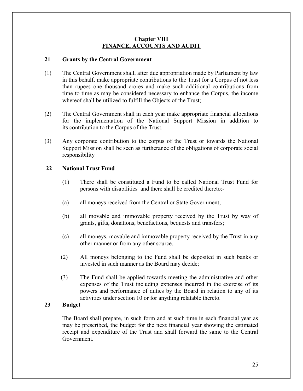## **Chapter VIII FINANCE, ACCOUNTS AND AUDIT**

## **21 Grants by the Central Government**

- (1) The Central Government shall, after due appropriation made by Parliament by law in this behalf, make appropriate contributions to the Trust for a Corpus of not less than rupees one thousand crores and make such additional contributions from time to time as may be considered necessary to enhance the Corpus, the income whereof shall be utilized to fulfill the Objects of the Trust;
- (2) The Central Government shall in each year make appropriate financial allocations for the implementation of the National Support Mission in addition to its contribution to the Corpus of the Trust.
- (3) Any corporate contribution to the corpus of the Trust or towards the National Support Mission shall be seen as furtherance of the obligations of corporate social responsibility

# **22 National Trust Fund**

- (1) There shall be constituted a Fund to be called National Trust Fund for persons with disabilities and there shall be credited thereto:-
- (a) all moneys received from the Central or State Government;
- (b) all movable and immovable property received by the Trust by way of grants, gifts, donations, benefactions, bequests and transfers;
- (c) all moneys, movable and immovable property received by the Trust in any other manner or from any other source.
- (2) All moneys belonging to the Fund shall be deposited in such banks or invested in such manner as the Board may decide;
- (3) The Fund shall be applied towards meeting the administrative and other expenses of the Trust including expenses incurred in the exercise of its powers and performance of duties by the Board in relation to any of its activities under section 10 or for anything relatable thereto.

### **23 Budget**

The Board shall prepare, in such form and at such time in each financial year as may be prescribed, the budget for the next financial year showing the estimated receipt and expenditure of the Trust and shall forward the same to the Central Government.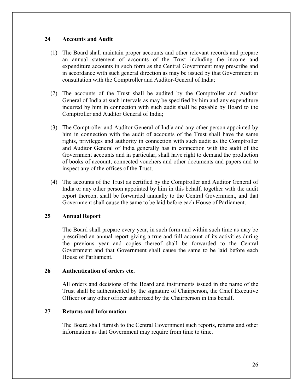## **24 Accounts and Audit**

- (1) The Board shall maintain proper accounts and other relevant records and prepare an annual statement of accounts of the Trust including the income and expenditure accounts in such form as the Central Government may prescribe and in accordance with such general direction as may be issued by that Government in consultation with the Comptroller and Auditor-General of India;
- (2) The accounts of the Trust shall be audited by the Comptroller and Auditor General of India at such intervals as may be specified by him and any expenditure incurred by him in connection with such audit shall be payable by Board to the Comptroller and Auditor General of India;
- (3) The Comptroller and Auditor General of India and any other person appointed by him in connection with the audit of accounts of the Trust shall have the same rights, privileges and authority in connection with such audit as the Comptroller and Auditor General of India generally has in connection with the audit of the Government accounts and in particular, shall have right to demand the production of books of account, connected vouchers and other documents and papers and to inspect any of the offices of the Trust;
- (4) The accounts of the Trust as certified by the Comptroller and Auditor General of India or any other person appointed by him in this behalf, together with the audit report thereon, shall be forwarded annually to the Central Government, and that Government shall cause the same to be laid before each House of Parliament.

# **25 Annual Report**

The Board shall prepare every year, in such form and within such time as may be prescribed an annual report giving a true and full account of its activities during the previous year and copies thereof shall be forwarded to the Central Government and that Government shall cause the same to be laid before each House of Parliament.

#### **26 Authentication of orders etc.**

All orders and decisions of the Board and instruments issued in the name of the Trust shall be authenticated by the signature of Chairperson, the Chief Executive Officer or any other officer authorized by the Chairperson in this behalf.

#### **27 Returns and Information**

The Board shall furnish to the Central Government such reports, returns and other information as that Government may require from time to time.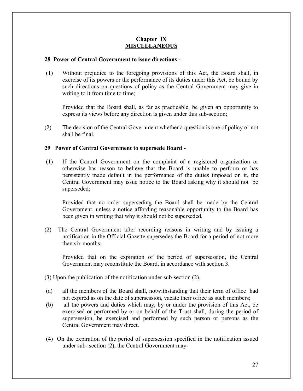## **Chapter IX MISCELLANEOUS**

# **28 Power of Central Government to issue directions -**

(1) Without prejudice to the foregoing provisions of this Act, the Board shall, in exercise of its powers or the performance of its duties under this Act, be bound by such directions on questions of policy as the Central Government may give in writing to it from time to time;

Provided that the Board shall, as far as practicable, be given an opportunity to express its views before any direction is given under this sub-section;

(2) The decision of the Central Government whether a question is one of policy or not shall be final.

# **29 Power of Central Government to supersede Board -**

(1) If the Central Government on the complaint of a registered organization or otherwise has reason to believe that the Board is unable to perform or has persistently made default in the performance of the duties imposed on it, the Central Government may issue notice to the Board asking why it should not be superseded;

Provided that no order superseding the Board shall be made by the Central Government, unless a notice affording reasonable opportunity to the Board has been given in writing that why it should not be superseded.

(2) The Central Government after recording reasons in writing and by issuing a notification in the Official Gazette supersedes the Board for a period of not more than six months;

Provided that on the expiration of the period of supersession, the Central Government may reconstitute the Board, in accordance with section 3.

- (3) Upon the publication of the notification under sub-section (2),
- (a) all the members of the Board shall, notwithstanding that their term of office had not expired as on the date of supersession, vacate their office as such members;
- (b) all the powers and duties which may, by or under the provision of this Act, be exercised or performed by or on behalf of the Trust shall, during the period of supersession, be exercised and performed by such person or persons as the Central Government may direct.
- (4) On the expiration of the period of supersession specified in the notification issued under sub- section (2), the Central Government may-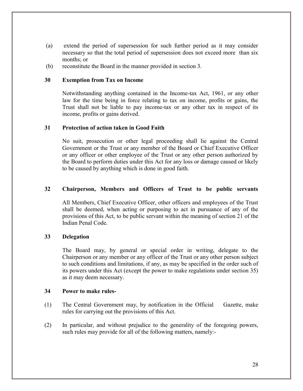- (a) extend the period of supersession for such further period as it may consider necessary so that the total period of supersession does not exceed more than six months; or
- (b) reconstitute the Board in the manner provided in section 3.

#### **30 Exemption from Tax on Income**

Notwithstanding anything contained in the Income-tax Act, 1961, or any other law for the time being in force relating to tax on income, profits or gains, the Trust shall not be liable to pay income-tax or any other tax in respect of its income, profits or gains derived.

#### **31 Protection of action taken in Good Faith**

No suit, prosecution or other legal proceeding shall lie against the Central Government or the Trust or any member of the Board or Chief Executive Officer or any officer or other employee of the Trust or any other person authorized by the Board to perform duties under this Act for any loss or damage caused or likely to be caused by anything which is done in good faith.

#### **32 Chairperson, Members and Officers of Trust to be public servants**

All Members, Chief Executive Officer, other officers and employees of the Trust shall be deemed, when acting or purposing to act in pursuance of any of the provisions of this Act, to be public servant within the meaning of section 21 of the Indian Penal Code.

#### **33 Delegation**

The Board may, by general or special order in writing, delegate to the Chairperson or any member or any officer of the Trust or any other person subject to such conditions and limitations, if any, as may be specified in the order such of its powers under this Act (except the power to make regulations under section 35) as it may deem necessary.

#### **34 Power to make rules-**

- (1) The Central Government may, by notification in the Official Gazette, make rules for carrying out the provisions of this Act.
- (2) In particular, and without prejudice to the generality of the foregoing powers, such rules may provide for all of the following matters, namely:-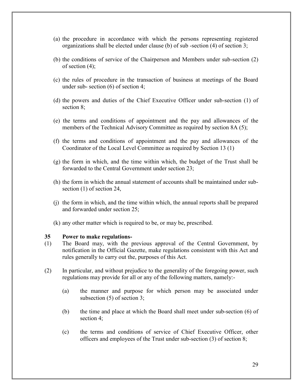- (a) the procedure in accordance with which the persons representing registered organizations shall be elected under clause (b) of sub-section  $(4)$  of section 3;
- (b) the conditions of service of the Chairperson and Members under sub-section (2) of section (4);
- (c) the rules of procedure in the transaction of business at meetings of the Board under sub- section (6) of section 4;
- (d) the powers and duties of the Chief Executive Officer under sub-section (1) of section 8;
- (e) the terms and conditions of appointment and the pay and allowances of the members of the Technical Advisory Committee as required by section 8A (5);
- (f) the terms and conditions of appointment and the pay and allowances of the Coordinator of the Local Level Committee as required by Section 13 (1)
- (g) the form in which, and the time within which, the budget of the Trust shall be forwarded to the Central Government under section 23;
- (h) the form in which the annual statement of accounts shall be maintained under subsection (1) of section 24,
- (j) the form in which, and the time within which, the annual reports shall be prepared and forwarded under section 25;
- (k) any other matter which is required to be, or may be, prescribed.

#### **35 Power to make regulations-**

- (1) The Board may, with the previous approval of the Central Government, by notification in the Official Gazette, make regulations consistent with this Act and rules generally to carry out the, purposes of this Act.
- (2) In particular, and without prejudice to the generality of the foregoing power, such regulations may provide for all or any of the following matters, namely:-
	- (a) the manner and purpose for which person may be associated under subsection (5) of section 3;
	- (b) the time and place at which the Board shall meet under sub-section (6) of section 4;
	- (c) the terms and conditions of service of Chief Executive Officer, other officers and employees of the Trust under sub-section (3) of section 8;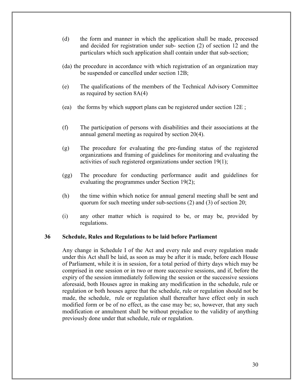- (d) the form and manner in which the application shall be made, processed and decided for registration under sub- section (2) of section 12 and the particulars which such application shall contain under that sub-section;
- (da) the procedure in accordance with which registration of an organization may be suspended or cancelled under section 12B;
- (e) The qualifications of the members of the Technical Advisory Committee as required by section 8A(4)
- (ea) the forms by which support plans can be registered under section  $12E$ ;
- (f) The participation of persons with disabilities and their associations at the annual general meeting as required by section 20(4).
- (g) The procedure for evaluating the pre-funding status of the registered organizations and framing of guidelines for monitoring and evaluating the activities of such registered organizations under section 19(1);
- (gg) The procedure for conducting performance audit and guidelines for evaluating the programmes under Section 19(2);
- (h) the time within which notice for annual general meeting shall be sent and quorum for such meeting under sub-sections (2) and (3) of section 20;
- (i) any other matter which is required to be, or may be, provided by regulations.

#### **36 Schedule, Rules and Regulations to be laid before Parliament**

Any change in Schedule I of the Act and every rule and every regulation made under this Act shall be laid, as soon as may be after it is made, before each House of Parliament, while it is in session, for a total period of thirty days which may be comprised in one session or in two or more successive sessions, and if, before the expiry of the session immediately following the session or the successive sessions aforesaid, both Houses agree in making any modification in the schedule, rule or regulation or both houses agree that the schedule, rule or regulation should not be made, the schedule, rule or regulation shall thereafter have effect only in such modified form or be of no effect, as the case may be; so, however, that any such modification or annulment shall be without prejudice to the validity of anything previously done under that schedule, rule or regulation.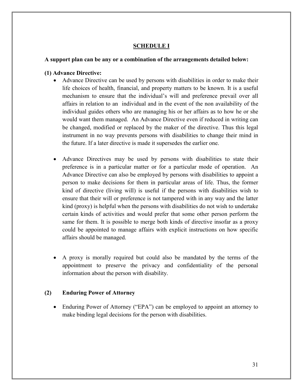# **SCHEDULE I**

## **A support plan can be any or a combination of the arrangements detailed below:**

## **(1) Advance Directive:**

- Advance Directive can be used by persons with disabilities in order to make their life choices of health, financial, and property matters to be known. It is a useful mechanism to ensure that the individual's will and preference prevail over all affairs in relation to an individual and in the event of the non availability of the individual guides others who are managing his or her affairs as to how he or she would want them managed. An Advance Directive even if reduced in writing can be changed, modified or replaced by the maker of the directive. Thus this legal instrument in no way prevents persons with disabilities to change their mind in the future. If a later directive is made it supersedes the earlier one.
- Advance Directives may be used by persons with disabilities to state their preference is in a particular matter or for a particular mode of operation. An Advance Directive can also be employed by persons with disabilities to appoint a person to make decisions for them in particular areas of life. Thus, the former kind of directive (living will) is useful if the persons with disabilities wish to ensure that their will or preference is not tampered with in any way and the latter kind (proxy) is helpful when the persons with disabilities do not wish to undertake certain kinds of activities and would prefer that some other person perform the same for them. It is possible to merge both kinds of directive insofar as a proxy could be appointed to manage affairs with explicit instructions on how specific affairs should be managed.
- A proxy is morally required but could also be mandated by the terms of the appointment to preserve the privacy and confidentiality of the personal information about the person with disability.

# **(2) Enduring Power of Attorney**

• Enduring Power of Attorney ("EPA") can be employed to appoint an attorney to make binding legal decisions for the person with disabilities.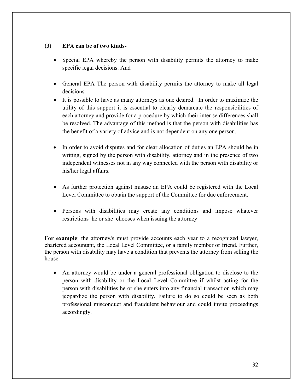# **(3) EPA can be of two kinds-**

- Special EPA whereby the person with disability permits the attorney to make specific legal decisions. And
- General EPA The person with disability permits the attorney to make all legal decisions.
- It is possible to have as many attorneys as one desired. In order to maximize the utility of this support it is essential to clearly demarcate the responsibilities of each attorney and provide for a procedure by which their inter se differences shall be resolved. The advantage of this method is that the person with disabilities has the benefit of a variety of advice and is not dependent on any one person.
- In order to avoid disputes and for clear allocation of duties an EPA should be in writing, signed by the person with disability, attorney and in the presence of two independent witnesses not in any way connected with the person with disability or his/her legal affairs.
- As further protection against misuse an EPA could be registered with the Local Level Committee to obtain the support of the Committee for due enforcement.
- Persons with disabilities may create any conditions and impose whatever restrictions he or she chooses when issuing the attorney

**For example**: the attorney/s must provide accounts each year to a recognized lawyer, chartered accountant, the Local Level Committee, or a family member or friend. Further, the person with disability may have a condition that prevents the attorney from selling the house.

 An attorney would be under a general professional obligation to disclose to the person with disability or the Local Level Committee if whilst acting for the person with disabilities he or she enters into any financial transaction which may jeopardize the person with disability. Failure to do so could be seen as both professional misconduct and fraudulent behaviour and could invite proceedings accordingly.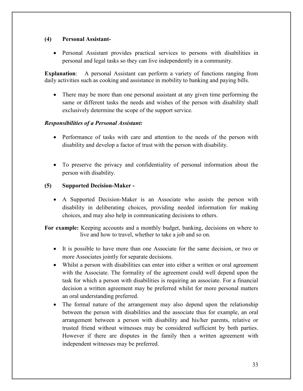# **(4) Personal Assistant-**

 Personal Assistant provides practical services to persons with disabilities in personal and legal tasks so they can live independently in a community.

**Explanation**: A personal Assistant can perform a variety of functions ranging from daily activities such as cooking and assistance in mobility to banking and paying bills.

 There may be more than one personal assistant at any given time performing the same or different tasks the needs and wishes of the person with disability shall exclusively determine the scope of the support service.

# *Responsibilities of a Personal Assistant:*

- Performance of tasks with care and attention to the needs of the person with disability and develop a factor of trust with the person with disability.
- To preserve the privacy and confidentiality of personal information about the person with disability.

# **(5) Supported Decision-Maker -**

 A Supported Decision-Maker is an Associate who assists the person with disability in deliberating choices, providing needed information for making choices, and may also help in communicating decisions to others.

**For example:** Keeping accounts and a monthly budget, banking, decisions on where to live and how to travel, whether to take a job and so on.

- It is possible to have more than one Associate for the same decision, or two or more Associates jointly for separate decisions.
- Whilst a person with disabilities can enter into either a written or oral agreement with the Associate. The formality of the agreement could well depend upon the task for which a person with disabilities is requiring an associate. For a financial decision a written agreement may be preferred whilst for more personal matters an oral understanding preferred.
- The formal nature of the arrangement may also depend upon the relationship between the person with disabilities and the associate thus for example, an oral arrangement between a person with disability and his/her parents, relative or trusted friend without witnesses may be considered sufficient by both parties. However if there are disputes in the family then a written agreement with independent witnesses may be preferred.